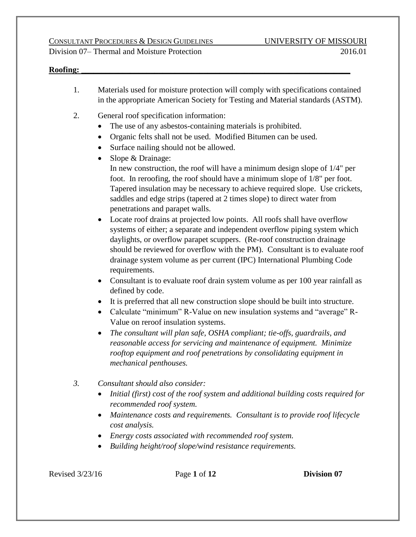#### **Roofing: \_\_\_\_\_\_\_\_\_\_\_\_\_\_\_\_\_\_\_\_\_\_\_\_\_\_\_\_\_\_\_\_\_\_\_\_\_\_\_\_\_\_\_\_\_\_\_\_\_\_\_\_\_\_\_\_\_\_\_\_\_\_\_\_\_\_**

- 1. Materials used for moisture protection will comply with specifications contained in the appropriate American Society for Testing and Material standards (ASTM).
- 2. General roof specification information:
	- The use of any asbestos-containing materials is prohibited.
	- Organic felts shall not be used. Modified Bitumen can be used.
	- Surface nailing should not be allowed.
	- Slope & Drainage: In new construction, the roof will have a minimum design slope of 1/4" per foot. In reroofing, the roof should have a minimum slope of 1/8" per foot. Tapered insulation may be necessary to achieve required slope. Use crickets, saddles and edge strips (tapered at 2 times slope) to direct water from penetrations and parapet walls.
	- Locate roof drains at projected low points. All roofs shall have overflow systems of either; a separate and independent overflow piping system which daylights, or overflow parapet scuppers. (Re-roof construction drainage should be reviewed for overflow with the PM). Consultant is to evaluate roof drainage system volume as per current (IPC) International Plumbing Code requirements.
	- Consultant is to evaluate roof drain system volume as per 100 year rainfall as defined by code.
	- It is preferred that all new construction slope should be built into structure.
	- Calculate "minimum" R-Value on new insulation systems and "average" R-Value on reroof insulation systems.
	- *The consultant will plan safe, OSHA compliant; tie-offs, guardrails, and reasonable access for servicing and maintenance of equipment. Minimize rooftop equipment and roof penetrations by consolidating equipment in mechanical penthouses.*
- *3. Consultant should also consider:*
	- *Initial (first) cost of the roof system and additional building costs required for recommended roof system.*
	- *Maintenance costs and requirements. Consultant is to provide roof lifecycle cost analysis.*
	- *Energy costs associated with recommended roof system.*
	- *Building height/roof slope/wind resistance requirements.*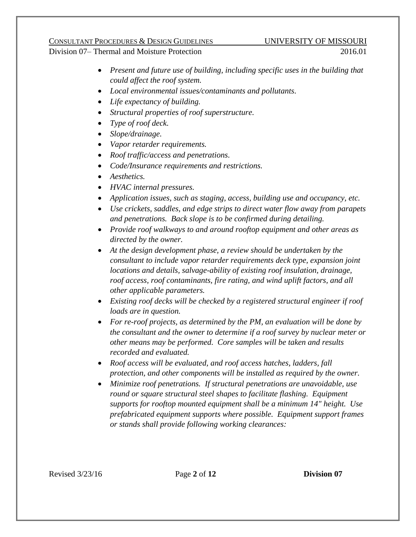- *Present and future use of building, including specific uses in the building that could affect the roof system.*
- *Local environmental issues/contaminants and pollutants.*
- *Life expectancy of building.*
- *Structural properties of roof superstructure.*
- *Type of roof deck.*
- *Slope/drainage.*
- *Vapor retarder requirements.*
- *Roof traffic/access and penetrations.*
- *Code/Insurance requirements and restrictions.*
- *Aesthetics.*
- *HVAC internal pressures.*
- *Application issues, such as staging, access, building use and occupancy, etc.*
- *Use crickets, saddles, and edge strips to direct water flow away from parapets and penetrations. Back slope is to be confirmed during detailing.*
- *Provide roof walkways to and around rooftop equipment and other areas as directed by the owner.*
- *At the design development phase, a review should be undertaken by the consultant to include vapor retarder requirements deck type, expansion joint locations and details, salvage-ability of existing roof insulation, drainage, roof access, roof contaminants, fire rating, and wind uplift factors, and all other applicable parameters.*
- *Existing roof decks will be checked by a registered structural engineer if roof loads are in question.*
- *For re-roof projects, as determined by the PM, an evaluation will be done by the consultant and the owner to determine if a roof survey by nuclear meter or other means may be performed. Core samples will be taken and results recorded and evaluated.*
- *Roof access will be evaluated, and roof access hatches, ladders, fall protection, and other components will be installed as required by the owner.*
- *Minimize roof penetrations. If structural penetrations are unavoidable, use round or square structural steel shapes to facilitate flashing. Equipment supports for rooftop mounted equipment shall be a minimum 14" height. Use prefabricated equipment supports where possible. Equipment support frames or stands shall provide following working clearances:*

Revised 3/23/16 Page **2** of **12 Division 07**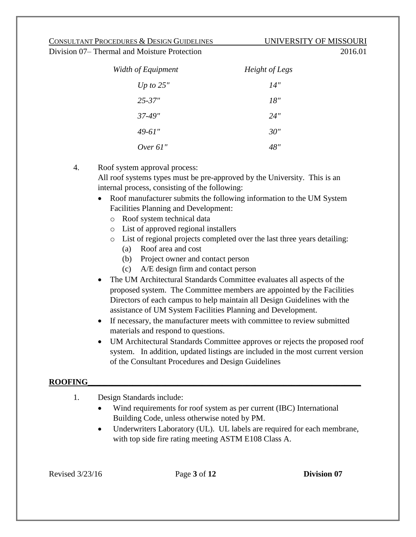| Width of Equipment | Height of Legs |
|--------------------|----------------|
| Up to $25"$        | 14"            |
| $25 - 37"$         | 18"            |
| 37-49"             | 24"            |
| 49-61"             | 30"            |
| Over $61$ "        | 48"            |

4. Roof system approval process:

All roof systems types must be pre-approved by the University. This is an internal process, consisting of the following:

- Roof manufacturer submits the following information to the UM System Facilities Planning and Development:
	- o Roof system technical data
	- o List of approved regional installers
	- o List of regional projects completed over the last three years detailing:
		- (a) Roof area and cost
		- (b) Project owner and contact person
		- (c) A/E design firm and contact person
- The UM Architectural Standards Committee evaluates all aspects of the proposed system. The Committee members are appointed by the Facilities Directors of each campus to help maintain all Design Guidelines with the assistance of UM System Facilities Planning and Development.
- If necessary, the manufacturer meets with committee to review submitted materials and respond to questions.
- UM Architectural Standards Committee approves or rejects the proposed roof system. In addition, updated listings are included in the most current version of the Consultant Procedures and Design Guidelines

### $\bf{ROOFING}$

- 1. Design Standards include:
	- Wind requirements for roof system as per current (IBC) International Building Code, unless otherwise noted by PM.
	- Underwriters Laboratory (UL). UL labels are required for each membrane, with top side fire rating meeting ASTM E108 Class A.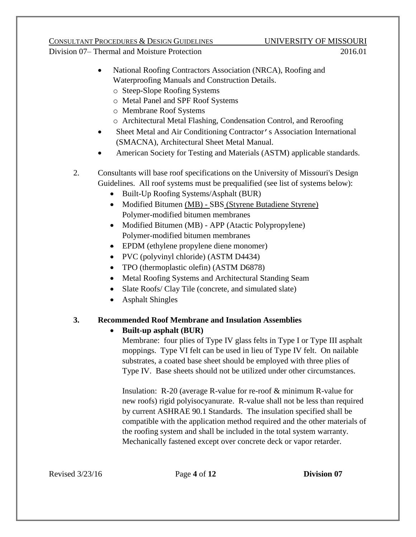- National Roofing Contractors Association (NRCA), Roofing and Waterproofing Manuals and Construction Details.
- o Steep-Slope Roofing Systems
- o Metal Panel and SPF Roof Systems
- o Membrane Roof Systems
- o Architectural Metal Flashing, Condensation Control, and Reroofing
- Sheet Metal and Air Conditioning Contractor's Association International (SMACNA), Architectural Sheet Metal Manual.
- American Society for Testing and Materials (ASTM) applicable standards.
- 2. Consultants will base roof specifications on the University of Missouri's Design Guidelines. All roof systems must be prequalified (see list of systems below):
	- Built-Up Roofing Systems/Asphalt (BUR)
	- Modified Bitumen (MB) SBS (Styrene Butadiene Styrene) Polymer-modified bitumen membranes
	- Modified Bitumen (MB) APP (Atactic Polypropylene) Polymer-modified bitumen membranes
	- EPDM (ethylene propylene diene monomer)
	- PVC (polyvinyl chloride) (ASTM D4434)
	- TPO (thermoplastic olefin) (ASTM D6878)
	- Metal Roofing Systems and Architectural Standing Seam
	- Slate Roofs/ Clay Tile (concrete, and simulated slate)
	- Asphalt Shingles

### **3. Recommended Roof Membrane and Insulation Assemblies**

### **Built-up asphalt (BUR)**

Membrane: four plies of Type IV glass felts in Type I or Type III asphalt moppings. Type VI felt can be used in lieu of Type IV felt. On nailable substrates, a coated base sheet should be employed with three plies of Type IV. Base sheets should not be utilized under other circumstances.

Insulation: R-20 (average R-value for re-roof & minimum R-value for new roofs) rigid polyisocyanurate. R-value shall not be less than required by current ASHRAE 90.1 Standards. The insulation specified shall be compatible with the application method required and the other materials of the roofing system and shall be included in the total system warranty. Mechanically fastened except over concrete deck or vapor retarder.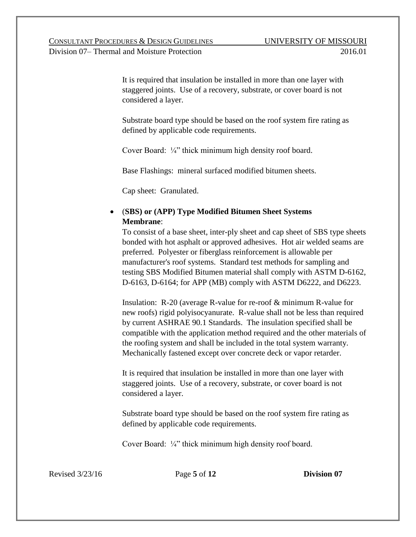It is required that insulation be installed in more than one layer with staggered joints. Use of a recovery, substrate, or cover board is not considered a layer.

Substrate board type should be based on the roof system fire rating as defined by applicable code requirements.

Cover Board: ¼" thick minimum high density roof board.

Base Flashings: mineral surfaced modified bitumen sheets.

Cap sheet: Granulated.

### (**SBS) or (APP) Type Modified Bitumen Sheet Systems Membrane**:

To consist of a base sheet, inter-ply sheet and cap sheet of SBS type sheets bonded with hot asphalt or approved adhesives. Hot air welded seams are preferred. Polyester or fiberglass reinforcement is allowable per manufacturer's roof systems. Standard test methods for sampling and testing SBS Modified Bitumen material shall comply with ASTM D-6162, D-6163, D-6164; for APP (MB) comply with ASTM D6222, and D6223.

Insulation: R-20 (average R-value for re-roof & minimum R-value for new roofs) rigid polyisocyanurate. R-value shall not be less than required by current ASHRAE 90.1 Standards. The insulation specified shall be compatible with the application method required and the other materials of the roofing system and shall be included in the total system warranty. Mechanically fastened except over concrete deck or vapor retarder.

It is required that insulation be installed in more than one layer with staggered joints. Use of a recovery, substrate, or cover board is not considered a layer.

Substrate board type should be based on the roof system fire rating as defined by applicable code requirements.

Cover Board: ¼" thick minimum high density roof board.

Revised 3/23/16 Page **5** of **12 Division 07**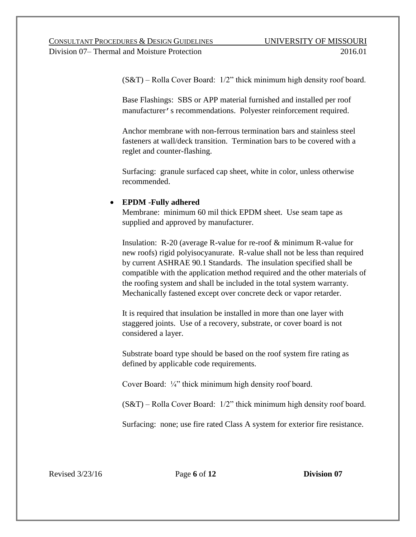(S&T) – Rolla Cover Board: 1/2" thick minimum high density roof board.

Base Flashings: SBS or APP material furnished and installed per roof manufacturer's recommendations. Polyester reinforcement required.

Anchor membrane with non-ferrous termination bars and stainless steel fasteners at wall/deck transition. Termination bars to be covered with a reglet and counter-flashing.

Surfacing: granule surfaced cap sheet, white in color, unless otherwise recommended.

### **EPDM -Fully adhered**

Membrane: minimum 60 mil thick EPDM sheet. Use seam tape as supplied and approved by manufacturer.

Insulation: R-20 (average R-value for re-roof & minimum R-value for new roofs) rigid polyisocyanurate. R-value shall not be less than required by current ASHRAE 90.1 Standards. The insulation specified shall be compatible with the application method required and the other materials of the roofing system and shall be included in the total system warranty. Mechanically fastened except over concrete deck or vapor retarder.

It is required that insulation be installed in more than one layer with staggered joints. Use of a recovery, substrate, or cover board is not considered a layer.

Substrate board type should be based on the roof system fire rating as defined by applicable code requirements.

Cover Board: ¼" thick minimum high density roof board.

(S&T) – Rolla Cover Board: 1/2" thick minimum high density roof board.

Surfacing: none; use fire rated Class A system for exterior fire resistance.

Revised 3/23/16 Page **6** of **12 Division 07**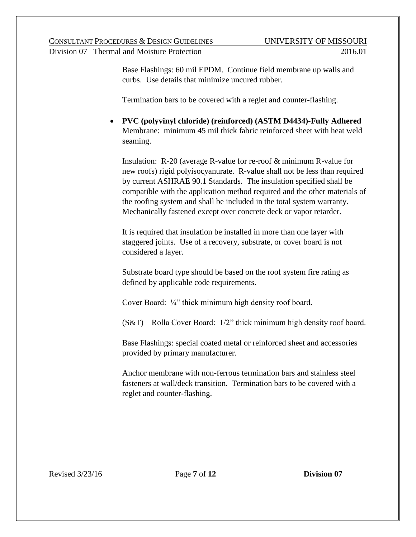Base Flashings: 60 mil EPDM. Continue field membrane up walls and curbs. Use details that minimize uncured rubber.

Termination bars to be covered with a reglet and counter-flashing.

 **PVC (polyvinyl chloride) (reinforced) (ASTM D4434)-Fully Adhered** Membrane: minimum 45 mil thick fabric reinforced sheet with heat weld seaming.

Insulation: R-20 (average R-value for re-roof & minimum R-value for new roofs) rigid polyisocyanurate. R-value shall not be less than required by current ASHRAE 90.1 Standards. The insulation specified shall be compatible with the application method required and the other materials of the roofing system and shall be included in the total system warranty. Mechanically fastened except over concrete deck or vapor retarder.

It is required that insulation be installed in more than one layer with staggered joints. Use of a recovery, substrate, or cover board is not considered a layer.

Substrate board type should be based on the roof system fire rating as defined by applicable code requirements.

Cover Board: ¼" thick minimum high density roof board.

(S&T) – Rolla Cover Board: 1/2" thick minimum high density roof board.

Base Flashings: special coated metal or reinforced sheet and accessories provided by primary manufacturer.

Anchor membrane with non-ferrous termination bars and stainless steel fasteners at wall/deck transition. Termination bars to be covered with a reglet and counter-flashing.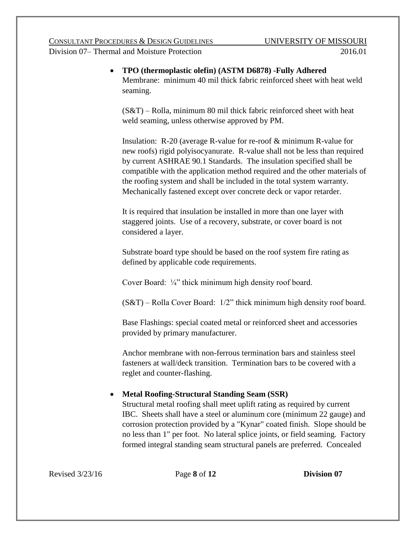**TPO (thermoplastic olefin) (ASTM D6878) -Fully Adhered** Membrane: minimum 40 mil thick fabric reinforced sheet with heat weld seaming.

(S&T) – Rolla, minimum 80 mil thick fabric reinforced sheet with heat weld seaming, unless otherwise approved by PM.

Insulation: R-20 (average R-value for re-roof & minimum R-value for new roofs) rigid polyisocyanurate. R-value shall not be less than required by current ASHRAE 90.1 Standards. The insulation specified shall be compatible with the application method required and the other materials of the roofing system and shall be included in the total system warranty. Mechanically fastened except over concrete deck or vapor retarder.

It is required that insulation be installed in more than one layer with staggered joints. Use of a recovery, substrate, or cover board is not considered a layer.

Substrate board type should be based on the roof system fire rating as defined by applicable code requirements.

Cover Board: ¼" thick minimum high density roof board.

(S&T) – Rolla Cover Board: 1/2" thick minimum high density roof board.

Base Flashings: special coated metal or reinforced sheet and accessories provided by primary manufacturer.

Anchor membrane with non-ferrous termination bars and stainless steel fasteners at wall/deck transition. Termination bars to be covered with a reglet and counter-flashing.

# **Metal Roofing-Structural Standing Seam (SSR)**

Structural metal roofing shall meet uplift rating as required by current IBC. Sheets shall have a steel or aluminum core (minimum 22 gauge) and corrosion protection provided by a "Kynar" coated finish. Slope should be no less than 1" per foot. No lateral splice joints, or field seaming. Factory formed integral standing seam structural panels are preferred. Concealed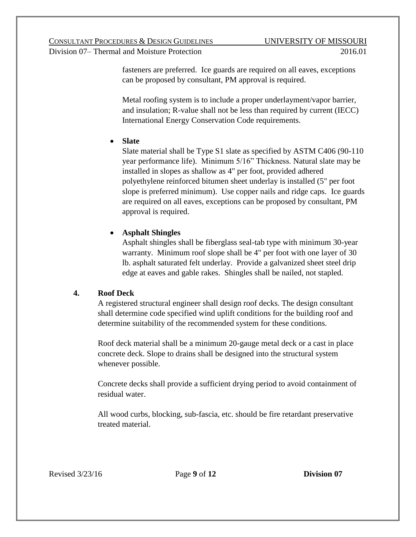fasteners are preferred. Ice guards are required on all eaves, exceptions can be proposed by consultant, PM approval is required.

Metal roofing system is to include a proper underlayment/vapor barrier, and insulation; R-value shall not be less than required by current (IECC) International Energy Conservation Code requirements.

## **Slate**

Slate material shall be Type S1 slate as specified by ASTM C406 (90-110 year performance life). Minimum 5/16" Thickness. Natural slate may be installed in slopes as shallow as 4" per foot, provided adhered polyethylene reinforced bitumen sheet underlay is installed (5" per foot slope is preferred minimum). Use copper nails and ridge caps. Ice guards are required on all eaves, exceptions can be proposed by consultant, PM approval is required.

# **Asphalt Shingles**

Asphalt shingles shall be fiberglass seal-tab type with minimum 30-year warranty. Minimum roof slope shall be 4" per foot with one layer of 30 lb. asphalt saturated felt underlay. Provide a galvanized sheet steel drip edge at eaves and gable rakes. Shingles shall be nailed, not stapled.

# **4. Roof Deck**

A registered structural engineer shall design roof decks. The design consultant shall determine code specified wind uplift conditions for the building roof and determine suitability of the recommended system for these conditions.

Roof deck material shall be a minimum 20-gauge metal deck or a cast in place concrete deck. Slope to drains shall be designed into the structural system whenever possible.

Concrete decks shall provide a sufficient drying period to avoid containment of residual water.

All wood curbs, blocking, sub-fascia, etc. should be fire retardant preservative treated material.

Revised 3/23/16 Page **9** of **12 Division 07**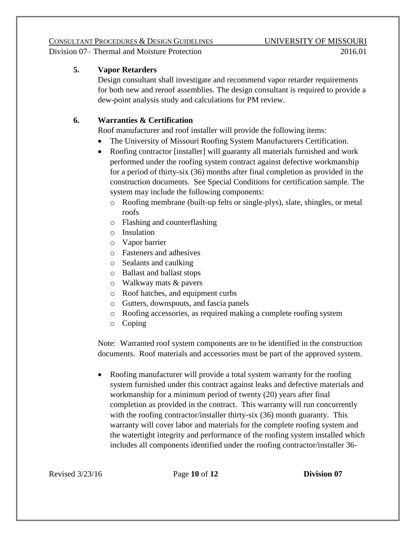### **5. Vapor Retarders**

Design consultant shall investigate and recommend vapor retarder requirements for both new and reroof assemblies. The design consultant is required to provide a dew-point analysis study and calculations for PM review.

### **6. Warranties & Certification**

Roof manufacturer and roof installer will provide the following items:

- The University of Missouri Roofing System Manufacturers Certification.
- Roofing contractor [installer] will guaranty all materials furnished and work performed under the roofing system contract against defective workmanship for a period of thirty-six (36) months after final completion as provided in the construction documents. See Special Conditions for certification sample. The system may include the following components:
	- o Roofing membrane (built-up felts or single-plys), slate, shingles, or metal roofs
	- o Flashing and counterflashing
	- o Insulation
	- o Vapor barrier
	- o Fasteners and adhesives
	- o Sealants and caulking
	- o Ballast and ballast stops
	- o Walkway mats & pavers
	- o Roof hatches, and equipment curbs
	- o Gutters, downspouts, and fascia panels
	- o Roofing accessories, as required making a complete roofing system
	- o Coping

Note: Warranted roof system components are to be identified in the construction documents. Roof materials and accessories must be part of the approved system.

• Roofing manufacturer will provide a total system warranty for the roofing system furnished under this contract against leaks and defective materials and workmanship for a minimum period of twenty (20) years after final completion as provided in the contract. This warranty will run concurrently with the roofing contractor/installer thirty-six (36) month guaranty. This warranty will cover labor and materials for the complete roofing system and the watertight integrity and performance of the roofing system installed which includes all components identified under the roofing contractor/installer 36-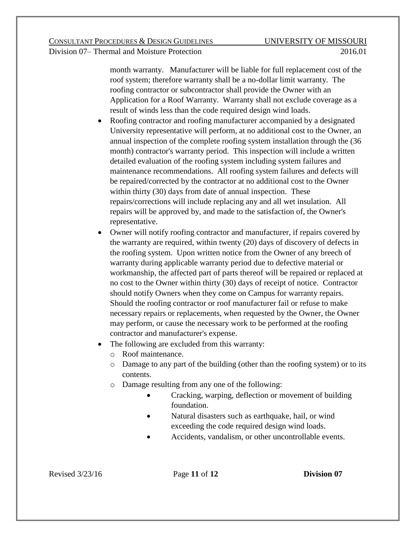month warranty. Manufacturer will be liable for full replacement cost of the roof system; therefore warranty shall be a no-dollar limit warranty. The roofing contractor or subcontractor shall provide the Owner with an Application for a Roof Warranty. Warranty shall not exclude coverage as a result of winds less than the code required design wind loads.

- Roofing contractor and roofing manufacturer accompanied by a designated University representative will perform, at no additional cost to the Owner, an annual inspection of the complete roofing system installation through the (36 month) contractor's warranty period. This inspection will include a written detailed evaluation of the roofing system including system failures and maintenance recommendations. All roofing system failures and defects will be repaired/corrected by the contractor at no additional cost to the Owner within thirty (30) days from date of annual inspection. These repairs/corrections will include replacing any and all wet insulation. All repairs will be approved by, and made to the satisfaction of, the Owner's representative.
- Owner will notify roofing contractor and manufacturer, if repairs covered by the warranty are required, within twenty (20) days of discovery of defects in the roofing system. Upon written notice from the Owner of any breech of warranty during applicable warranty period due to defective material or workmanship, the affected part of parts thereof will be repaired or replaced at no cost to the Owner within thirty (30) days of receipt of notice. Contractor should notify Owners when they come on Campus for warranty repairs. Should the roofing contractor or roof manufacturer fail or refuse to make necessary repairs or replacements, when requested by the Owner, the Owner may perform, or cause the necessary work to be performed at the roofing contractor and manufacturer's expense.
- The following are excluded from this warranty:
	- o Roof maintenance.
	- o Damage to any part of the building (other than the roofing system) or to its contents.
	- o Damage resulting from any one of the following:
		- Cracking, warping, deflection or movement of building foundation.
		- Natural disasters such as earthquake, hail, or wind exceeding the code required design wind loads.
		- Accidents, vandalism, or other uncontrollable events.